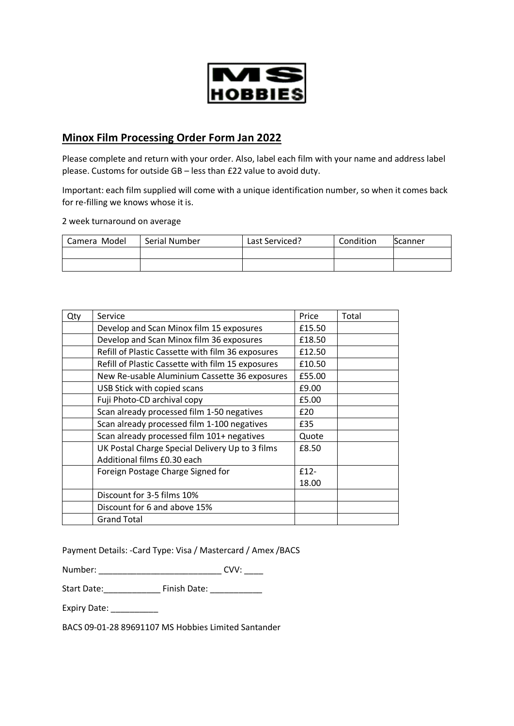

## **Minox Film Processing Order Form Jan 2022**

Please complete and return with your order. Also, label each film with your name and address label please. Customs for outside GB – less than £22 value to avoid duty.

Important: each film supplied will come with a unique identification number, so when it comes back for re-filling we knows whose it is.

2 week turnaround on average

| Camera Model | Serial Number | Last Serviced? | Condition | Scanner |
|--------------|---------------|----------------|-----------|---------|
|              |               |                |           |         |
|              |               |                |           |         |

| Qty | Service                                           | Price  | Total |
|-----|---------------------------------------------------|--------|-------|
|     | Develop and Scan Minox film 15 exposures          | £15.50 |       |
|     | Develop and Scan Minox film 36 exposures          | £18.50 |       |
|     | Refill of Plastic Cassette with film 36 exposures | £12.50 |       |
|     | Refill of Plastic Cassette with film 15 exposures | £10.50 |       |
|     | New Re-usable Aluminium Cassette 36 exposures     | £55.00 |       |
|     | USB Stick with copied scans                       | £9.00  |       |
|     | Fuji Photo-CD archival copy                       | £5.00  |       |
|     | Scan already processed film 1-50 negatives        | £20    |       |
|     | Scan already processed film 1-100 negatives       | £35    |       |
|     | Scan already processed film 101+ negatives        | Quote  |       |
|     | UK Postal Charge Special Delivery Up to 3 films   | £8.50  |       |
|     | Additional films £0.30 each                       |        |       |
|     | Foreign Postage Charge Signed for                 | $f12-$ |       |
|     |                                                   | 18.00  |       |
|     | Discount for 3-5 films 10%                        |        |       |
|     | Discount for 6 and above 15%                      |        |       |
|     | <b>Grand Total</b>                                |        |       |

Payment Details: -Card Type: Visa / Mastercard / Amex /BACS

Number: \_\_\_\_\_\_\_\_\_\_\_\_\_\_\_\_\_\_\_\_\_\_\_\_\_\_\_\_\_\_\_\_\_\_\_ CVV: \_\_\_\_\_

Start Date: \_\_\_\_\_\_\_\_\_\_\_\_\_\_\_\_ Finish Date: \_\_\_\_\_\_\_\_\_\_\_\_\_

Expiry Date: \_\_\_\_\_\_\_\_\_\_

BACS 09-01-28 89691107 MS Hobbies Limited Santander